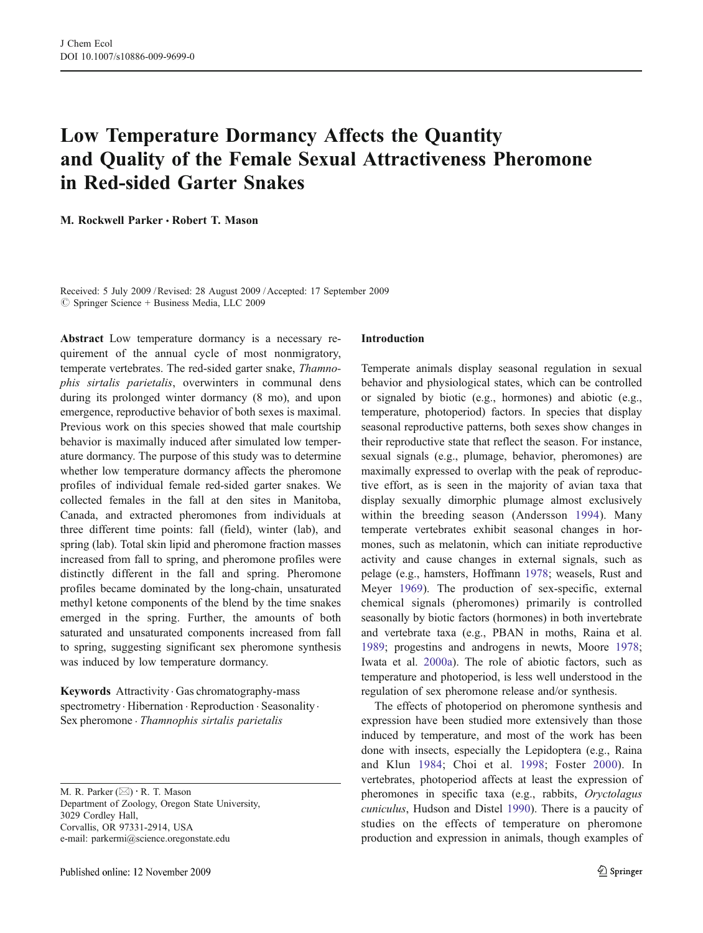# Low Temperature Dormancy Affects the Quantity and Quality of the Female Sexual Attractiveness Pheromone in Red-sided Garter Snakes

M. Rockwell Parker *&* Robert T. Mason

Received: 5 July 2009 /Revised: 28 August 2009 /Accepted: 17 September 2009  $\circledcirc$  Springer Science + Business Media, LLC 2009

Abstract Low temperature dormancy is a necessary requirement of the annual cycle of most nonmigratory, temperate vertebrates. The red-sided garter snake, Thamnophis sirtalis parietalis, overwinters in communal dens during its prolonged winter dormancy (8 mo), and upon emergence, reproductive behavior of both sexes is maximal. Previous work on this species showed that male courtship behavior is maximally induced after simulated low temperature dormancy. The purpose of this study was to determine whether low temperature dormancy affects the pheromone profiles of individual female red-sided garter snakes. We collected females in the fall at den sites in Manitoba, Canada, and extracted pheromones from individuals at three different time points: fall (field), winter (lab), and spring (lab). Total skin lipid and pheromone fraction masses increased from fall to spring, and pheromone profiles were distinctly different in the fall and spring. Pheromone profiles became dominated by the long-chain, unsaturated methyl ketone components of the blend by the time snakes emerged in the spring. Further, the amounts of both saturated and unsaturated components increased from fall to spring, suggesting significant sex pheromone synthesis was induced by low temperature dormancy.

Keywords Attractivity. Gas chromatography-mass spectrometry . Hibernation . Reproduction . Seasonality . Sex pheromone · Thamnophis sirtalis parietalis

M. R. Parker (*\**) *:* R. T. Mason Department of Zoology, Oregon State University, 3029 Cordley Hall, Corvallis, OR 97331-2914, USA e-mail: parkermi@science.oregonstate.edu

### Introduction

Temperate animals display seasonal regulation in sexual behavior and physiological states, which can be controlled or signaled by biotic (e.g., hormones) and abiotic (e.g., temperature, photoperiod) factors. In species that display seasonal reproductive patterns, both sexes show changes in their reproductive state that reflect the season. For instance, sexual signals (e.g., plumage, behavior, pheromones) are maximally expressed to overlap with the peak of reproductive effort, as is seen in the majority of avian taxa that display sexually dimorphic plumage almost exclusively within the breeding season (Andersson [1994](#page-6-0)). Many temperate vertebrates exhibit seasonal changes in hormones, such as melatonin, which can initiate reproductive activity and cause changes in external signals, such as pelage (e.g., hamsters, Hoffmann [1978;](#page-6-0) weasels, Rust and Meyer [1969](#page-7-0)). The production of sex-specific, external chemical signals (pheromones) primarily is controlled seasonally by biotic factors (hormones) in both invertebrate and vertebrate taxa (e.g., PBAN in moths, Raina et al. [1989](#page-7-0); progestins and androgens in newts, Moore [1978;](#page-7-0) Iwata et al. [2000a](#page-6-0)). The role of abiotic factors, such as temperature and photoperiod, is less well understood in the regulation of sex pheromone release and/or synthesis.

The effects of photoperiod on pheromone synthesis and expression have been studied more extensively than those induced by temperature, and most of the work has been done with insects, especially the Lepidoptera (e.g., Raina and Klun [1984;](#page-7-0) Choi et al. [1998](#page-6-0); Foster [2000](#page-6-0)). In vertebrates, photoperiod affects at least the expression of pheromones in specific taxa (e.g., rabbits, Oryctolagus cuniculus, Hudson and Distel [1990\)](#page-6-0). There is a paucity of studies on the effects of temperature on pheromone production and expression in animals, though examples of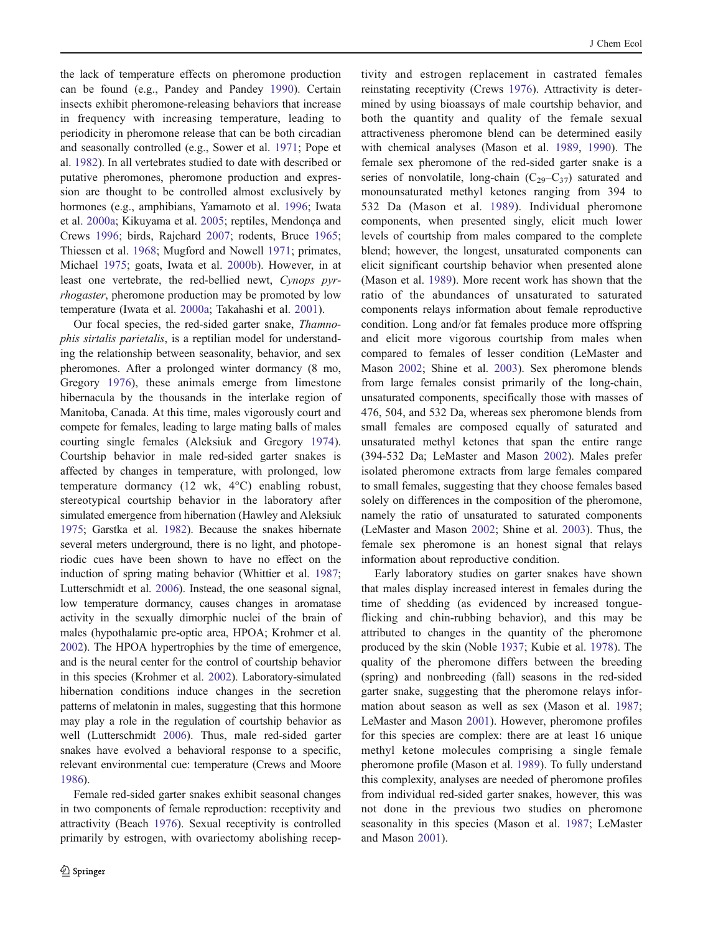the lack of temperature effects on pheromone production can be found (e.g., Pandey and Pandey [1990\)](#page-7-0). Certain insects exhibit pheromone-releasing behaviors that increase in frequency with increasing temperature, leading to periodicity in pheromone release that can be both circadian and seasonally controlled (e.g., Sower et al. [1971;](#page-7-0) Pope et al. [1982](#page-7-0)). In all vertebrates studied to date with described or putative pheromones, pheromone production and expression are thought to be controlled almost exclusively by hormones (e.g., amphibians, Yamamoto et al. [1996;](#page-7-0) Iwata et al. [2000a;](#page-6-0) Kikuyama et al. [2005](#page-6-0); reptiles, Mendonça and Crews [1996;](#page-7-0) birds, Rajchard [2007;](#page-7-0) rodents, Bruce [1965](#page-6-0); Thiessen et al. [1968](#page-7-0); Mugford and Nowell [1971;](#page-7-0) primates, Michael [1975](#page-7-0); goats, Iwata et al. [2000b\)](#page-6-0). However, in at least one vertebrate, the red-bellied newt, Cynops pyrrhogaster, pheromone production may be promoted by low temperature (Iwata et al. [2000a](#page-6-0); Takahashi et al. [2001\)](#page-7-0).

Our focal species, the red-sided garter snake, Thamnophis sirtalis parietalis, is a reptilian model for understanding the relationship between seasonality, behavior, and sex pheromones. After a prolonged winter dormancy (8 mo, Gregory [1976](#page-6-0)), these animals emerge from limestone hibernacula by the thousands in the interlake region of Manitoba, Canada. At this time, males vigorously court and compete for females, leading to large mating balls of males courting single females (Aleksiuk and Gregory [1974](#page-6-0)). Courtship behavior in male red-sided garter snakes is affected by changes in temperature, with prolonged, low temperature dormancy (12 wk, 4°C) enabling robust, stereotypical courtship behavior in the laboratory after simulated emergence from hibernation (Hawley and Aleksiuk [1975;](#page-6-0) Garstka et al. [1982](#page-6-0)). Because the snakes hibernate several meters underground, there is no light, and photoperiodic cues have been shown to have no effect on the induction of spring mating behavior (Whittier et al. [1987](#page-7-0); Lutterschmidt et al. [2006\)](#page-7-0). Instead, the one seasonal signal, low temperature dormancy, causes changes in aromatase activity in the sexually dimorphic nuclei of the brain of males (hypothalamic pre-optic area, HPOA; Krohmer et al. [2002\)](#page-6-0). The HPOA hypertrophies by the time of emergence, and is the neural center for the control of courtship behavior in this species (Krohmer et al. [2002](#page-6-0)). Laboratory-simulated hibernation conditions induce changes in the secretion patterns of melatonin in males, suggesting that this hormone may play a role in the regulation of courtship behavior as well (Lutterschmidt [2006](#page-7-0)). Thus, male red-sided garter snakes have evolved a behavioral response to a specific, relevant environmental cue: temperature (Crews and Moore [1986\)](#page-6-0).

Female red-sided garter snakes exhibit seasonal changes in two components of female reproduction: receptivity and attractivity (Beach [1976](#page-6-0)). Sexual receptivity is controlled primarily by estrogen, with ovariectomy abolishing recep-

tivity and estrogen replacement in castrated females reinstating receptivity (Crews [1976](#page-6-0)). Attractivity is determined by using bioassays of male courtship behavior, and both the quantity and quality of the female sexual attractiveness pheromone blend can be determined easily with chemical analyses (Mason et al. [1989](#page-7-0), [1990](#page-7-0)). The female sex pheromone of the red-sided garter snake is a series of nonvolatile, long-chain  $(C_{29}-C_{37})$  saturated and monounsaturated methyl ketones ranging from 394 to 532 Da (Mason et al. [1989](#page-7-0)). Individual pheromone components, when presented singly, elicit much lower levels of courtship from males compared to the complete blend; however, the longest, unsaturated components can elicit significant courtship behavior when presented alone (Mason et al. [1989](#page-7-0)). More recent work has shown that the ratio of the abundances of unsaturated to saturated components relays information about female reproductive condition. Long and/or fat females produce more offspring and elicit more vigorous courtship from males when compared to females of lesser condition (LeMaster and Mason [2002;](#page-6-0) Shine et al. [2003\)](#page-7-0). Sex pheromone blends from large females consist primarily of the long-chain, unsaturated components, specifically those with masses of 476, 504, and 532 Da, whereas sex pheromone blends from small females are composed equally of saturated and unsaturated methyl ketones that span the entire range (394-532 Da; LeMaster and Mason [2002\)](#page-6-0). Males prefer isolated pheromone extracts from large females compared to small females, suggesting that they choose females based solely on differences in the composition of the pheromone, namely the ratio of unsaturated to saturated components (LeMaster and Mason [2002;](#page-6-0) Shine et al. [2003\)](#page-7-0). Thus, the female sex pheromone is an honest signal that relays information about reproductive condition.

Early laboratory studies on garter snakes have shown that males display increased interest in females during the time of shedding (as evidenced by increased tongueflicking and chin-rubbing behavior), and this may be attributed to changes in the quantity of the pheromone produced by the skin (Noble [1937](#page-7-0); Kubie et al. [1978](#page-6-0)). The quality of the pheromone differs between the breeding (spring) and nonbreeding (fall) seasons in the red-sided garter snake, suggesting that the pheromone relays information about season as well as sex (Mason et al. [1987;](#page-7-0) LeMaster and Mason [2001](#page-6-0)). However, pheromone profiles for this species are complex: there are at least 16 unique methyl ketone molecules comprising a single female pheromone profile (Mason et al. [1989\)](#page-7-0). To fully understand this complexity, analyses are needed of pheromone profiles from individual red-sided garter snakes, however, this was not done in the previous two studies on pheromone seasonality in this species (Mason et al. [1987](#page-7-0); LeMaster and Mason [2001](#page-6-0)).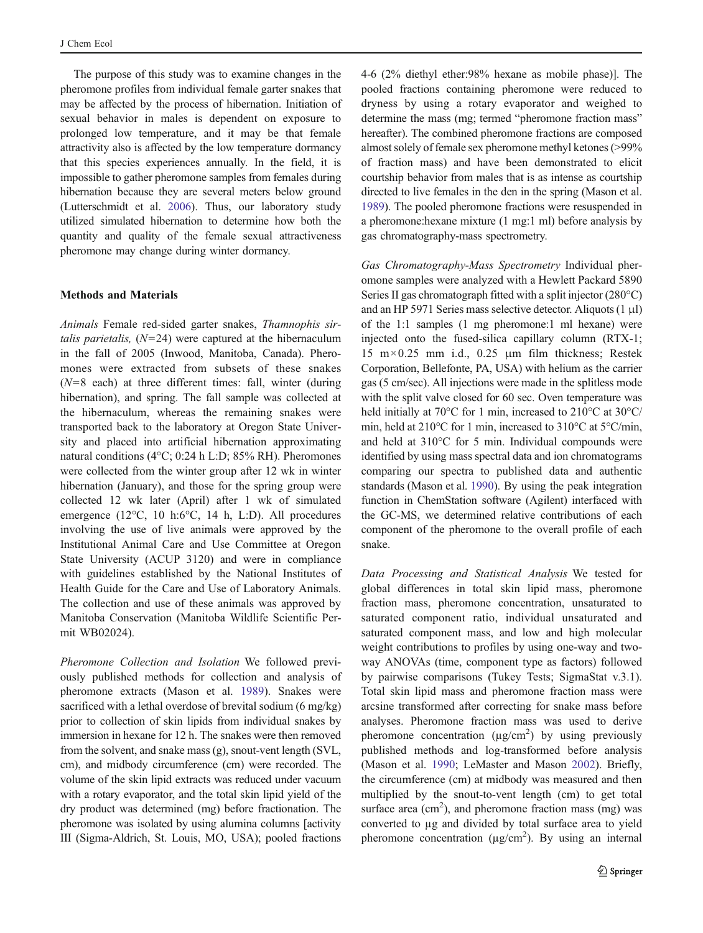The purpose of this study was to examine changes in the pheromone profiles from individual female garter snakes that may be affected by the process of hibernation. Initiation of sexual behavior in males is dependent on exposure to prolonged low temperature, and it may be that female attractivity also is affected by the low temperature dormancy that this species experiences annually. In the field, it is impossible to gather pheromone samples from females during hibernation because they are several meters below ground (Lutterschmidt et al. [2006\)](#page-7-0). Thus, our laboratory study utilized simulated hibernation to determine how both the quantity and quality of the female sexual attractiveness pheromone may change during winter dormancy.

# Methods and Materials

Animals Female red-sided garter snakes, Thamnophis sirtalis parietalis,  $(N=24)$  were captured at the hibernaculum in the fall of 2005 (Inwood, Manitoba, Canada). Pheromones were extracted from subsets of these snakes  $(N=8 \text{ each})$  at three different times: fall, winter (during hibernation), and spring. The fall sample was collected at the hibernaculum, whereas the remaining snakes were transported back to the laboratory at Oregon State University and placed into artificial hibernation approximating natural conditions (4°C; 0:24 h L:D; 85% RH). Pheromones were collected from the winter group after 12 wk in winter hibernation (January), and those for the spring group were collected 12 wk later (April) after 1 wk of simulated emergence (12°C, 10 h:6°C, 14 h, L:D). All procedures involving the use of live animals were approved by the Institutional Animal Care and Use Committee at Oregon State University (ACUP 3120) and were in compliance with guidelines established by the National Institutes of Health Guide for the Care and Use of Laboratory Animals. The collection and use of these animals was approved by Manitoba Conservation (Manitoba Wildlife Scientific Permit WB02024).

Pheromone Collection and Isolation We followed previously published methods for collection and analysis of pheromone extracts (Mason et al. [1989\)](#page-7-0). Snakes were sacrificed with a lethal overdose of brevital sodium (6 mg/kg) prior to collection of skin lipids from individual snakes by immersion in hexane for 12 h. The snakes were then removed from the solvent, and snake mass (g), snout-vent length (SVL, cm), and midbody circumference (cm) were recorded. The volume of the skin lipid extracts was reduced under vacuum with a rotary evaporator, and the total skin lipid yield of the dry product was determined (mg) before fractionation. The pheromone was isolated by using alumina columns [activity III (Sigma-Aldrich, St. Louis, MO, USA); pooled fractions

4-6 (2% diethyl ether:98% hexane as mobile phase)]. The pooled fractions containing pheromone were reduced to dryness by using a rotary evaporator and weighed to determine the mass (mg; termed "pheromone fraction mass" hereafter). The combined pheromone fractions are composed almost solely of female sex pheromone methyl ketones (>99% of fraction mass) and have been demonstrated to elicit courtship behavior from males that is as intense as courtship directed to live females in the den in the spring (Mason et al. [1989\)](#page-7-0). The pooled pheromone fractions were resuspended in a pheromone:hexane mixture (1 mg:1 ml) before analysis by gas chromatography-mass spectrometry.

Gas Chromatography-Mass Spectrometry Individual pheromone samples were analyzed with a Hewlett Packard 5890 Series II gas chromatograph fitted with a split injector (280°C) and an HP 5971 Series mass selective detector. Aliquots (1 μl) of the 1:1 samples (1 mg pheromone:1 ml hexane) were injected onto the fused-silica capillary column (RTX-1; 15 m×0.25 mm i.d., 0.25 μm film thickness; Restek Corporation, Bellefonte, PA, USA) with helium as the carrier gas (5 cm/sec). All injections were made in the splitless mode with the split valve closed for 60 sec. Oven temperature was held initially at 70°C for 1 min, increased to 210°C at 30°C/ min, held at 210°C for 1 min, increased to 310°C at 5°C/min, and held at 310°C for 5 min. Individual compounds were identified by using mass spectral data and ion chromatograms comparing our spectra to published data and authentic standards (Mason et al. [1990](#page-7-0)). By using the peak integration function in ChemStation software (Agilent) interfaced with the GC-MS, we determined relative contributions of each component of the pheromone to the overall profile of each snake.

Data Processing and Statistical Analysis We tested for global differences in total skin lipid mass, pheromone fraction mass, pheromone concentration, unsaturated to saturated component ratio, individual unsaturated and saturated component mass, and low and high molecular weight contributions to profiles by using one-way and twoway ANOVAs (time, component type as factors) followed by pairwise comparisons (Tukey Tests; SigmaStat v.3.1). Total skin lipid mass and pheromone fraction mass were arcsine transformed after correcting for snake mass before analyses. Pheromone fraction mass was used to derive pheromone concentration ( $\mu$ g/cm<sup>2</sup>) by using previously published methods and log-transformed before analysis (Mason et al. [1990;](#page-7-0) LeMaster and Mason [2002\)](#page-6-0). Briefly, the circumference (cm) at midbody was measured and then multiplied by the snout-to-vent length (cm) to get total surface area  $(cm<sup>2</sup>)$ , and pheromone fraction mass  $(mg)$  was converted to µg and divided by total surface area to yield pheromone concentration ( $\mu$ g/cm<sup>2</sup>). By using an internal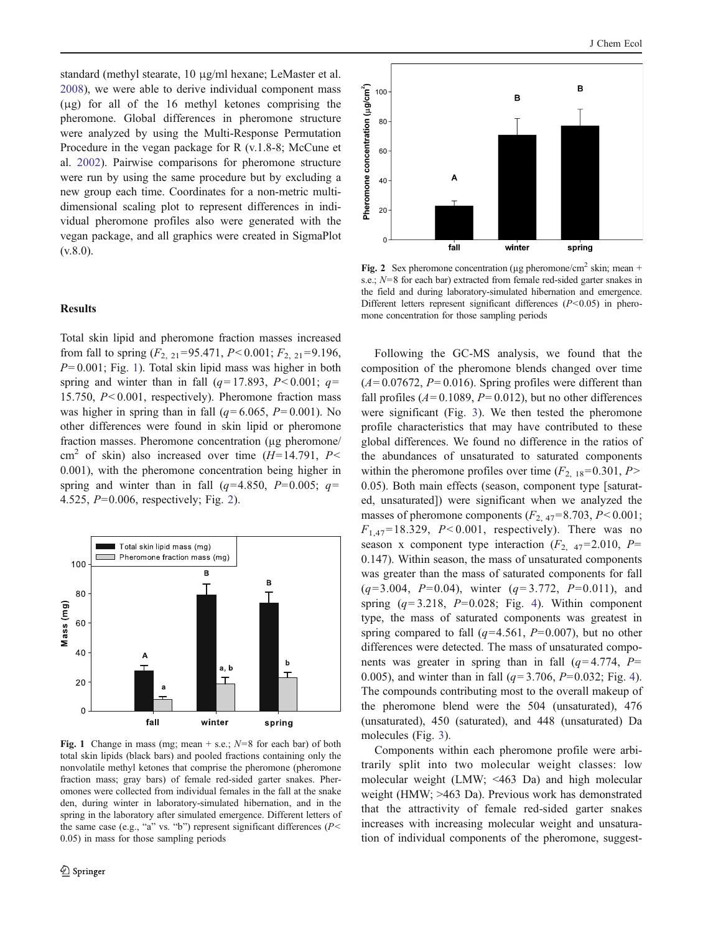standard (methyl stearate, 10 μg/ml hexane; LeMaster et al. [2008\)](#page-7-0), we were able to derive individual component mass (μg) for all of the 16 methyl ketones comprising the pheromone. Global differences in pheromone structure were analyzed by using the Multi-Response Permutation Procedure in the vegan package for R (v.1.8-8; McCune et al. [2002](#page-7-0)). Pairwise comparisons for pheromone structure were run by using the same procedure but by excluding a new group each time. Coordinates for a non-metric multidimensional scaling plot to represent differences in individual pheromone profiles also were generated with the vegan package, and all graphics were created in SigmaPlot (v.8.0).

# **Results**

Total skin lipid and pheromone fraction masses increased from fall to spring  $(F_{2, 21} = 95.471, P < 0.001; F_{2, 21} = 9.196,$  $P=0.001$ ; Fig. 1). Total skin lipid mass was higher in both spring and winter than in fall ( $q=17.893$ ,  $P<0.001$ ;  $q=$ 15.750,  $P < 0.001$ , respectively). Pheromone fraction mass was higher in spring than in fall ( $q=6.065$ ,  $P=0.001$ ). No other differences were found in skin lipid or pheromone fraction masses. Pheromone concentration (ug pheromone/ cm<sup>2</sup> of skin) also increased over time  $(H=14.791, P<$ 0.001), with the pheromone concentration being higher in spring and winter than in fall ( $q=4.850$ ,  $P=0.005$ ;  $q=$ 4.525, P=0.006, respectively; Fig. 2).



Fig. 1 Change in mass (mg; mean + s.e.;  $N=8$  for each bar) of both total skin lipids (black bars) and pooled fractions containing only the nonvolatile methyl ketones that comprise the pheromone (pheromone fraction mass; gray bars) of female red-sided garter snakes. Pheromones were collected from individual females in the fall at the snake den, during winter in laboratory-simulated hibernation, and in the spring in the laboratory after simulated emergence. Different letters of the same case (e.g., "a" vs. "b") represent significant differences ( $P$  < 0.05) in mass for those sampling periods



Fig. 2 Sex pheromone concentration ( $\mu$ g pheromone/cm<sup>2</sup> skin; mean + s.e.; N=8 for each bar) extracted from female red-sided garter snakes in the field and during laboratory-simulated hibernation and emergence. Different letters represent significant differences  $(P<0.05)$  in pheromone concentration for those sampling periods

Following the GC-MS analysis, we found that the composition of the pheromone blends changed over time  $(A=0.07672, P=0.016)$ . Spring profiles were different than fall profiles ( $A=0.1089$ ,  $P=0.012$ ), but no other differences were significant (Fig. [3](#page-4-0)). We then tested the pheromone profile characteristics that may have contributed to these global differences. We found no difference in the ratios of the abundances of unsaturated to saturated components within the pheromone profiles over time  $(F_{2, 18}=0.301, P$ 0.05). Both main effects (season, component type [saturated, unsaturated]) were significant when we analyzed the masses of pheromone components  $(F_{2, 47} = 8.703, P \le 0.001;$  $F_{1,47}$ =18.329, P<0.001, respectively). There was no season x component type interaction  $(F_{2, 47}=2.010, P=$ 0.147). Within season, the mass of unsaturated components was greater than the mass of saturated components for fall  $(q=3.004, P=0.04)$ , winter  $(q=3.772, P=0.011)$ , and spring  $(q=3.218, P=0.028;$  Fig. [4](#page-4-0)). Within component type, the mass of saturated components was greatest in spring compared to fall  $(q=4.561, P=0.007)$ , but no other differences were detected. The mass of unsaturated components was greater in spring than in fall  $(q=4.774, P=$ 0.005), and winter than in fall ( $q=3.706$ ,  $P=0.032$ ; Fig. [4\)](#page-4-0). The compounds contributing most to the overall makeup of the pheromone blend were the 504 (unsaturated), 476 (unsaturated), 450 (saturated), and 448 (unsaturated) Da molecules (Fig. [3\)](#page-4-0).

Components within each pheromone profile were arbitrarily split into two molecular weight classes: low molecular weight (LMW; <463 Da) and high molecular weight (HMW; >463 Da). Previous work has demonstrated that the attractivity of female red-sided garter snakes increases with increasing molecular weight and unsaturation of individual components of the pheromone, suggest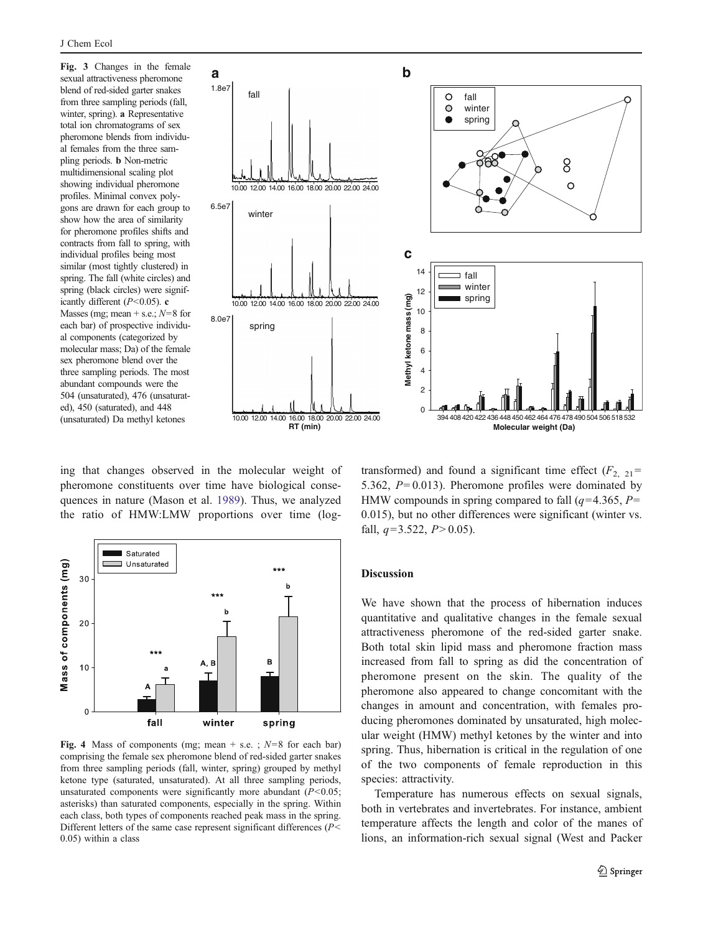<span id="page-4-0"></span>Fig. 3 Changes in the female sexual attractiveness pheromone blend of red-sided garter snakes from three sampling periods (fall, winter, spring). a Representative total ion chromatograms of sex pheromone blends from individual females from the three sampling periods. b Non-metric multidimensional scaling plot showing individual pheromone profiles. Minimal convex polygons are drawn for each group to show how the area of similarity for pheromone profiles shifts and contracts from fall to spring, with individual profiles being most similar (most tightly clustered) in spring. The fall (white circles) and spring (black circles) were significantly different  $(P<0.05)$ . c Masses (mg; mean  $+$  s.e.;  $N=8$  for each bar) of prospective individual components (categorized by molecular mass; Da) of the female sex pheromone blend over the three sampling periods. The most abundant compounds were the 504 (unsaturated), 476 (unsaturated), 450 (saturated), and 448 (unsaturated) Da methyl ketones



ing that changes observed in the molecular weight of pheromone constituents over time have biological consequences in nature (Mason et al. [1989\)](#page-7-0). Thus, we analyzed the ratio of HMW:LMW proportions over time (log-



Fig. 4 Mass of components (mg; mean + s.e. ;  $N=8$  for each bar) comprising the female sex pheromone blend of red-sided garter snakes from three sampling periods (fall, winter, spring) grouped by methyl ketone type (saturated, unsaturated). At all three sampling periods, unsaturated components were significantly more abundant  $(P<0.05;$ asterisks) than saturated components, especially in the spring. Within each class, both types of components reached peak mass in the spring. Different letters of the same case represent significant differences  $(P<$ 0.05) within a class

transformed) and found a significant time effect  $(F_{2, 21}$ = 5.362,  $P=0.013$ ). Pheromone profiles were dominated by HMW compounds in spring compared to fall  $(q=4.365, P=$ 0.015), but no other differences were significant (winter vs. fall,  $q=3.522$ ,  $P>0.05$ ).

# Discussion

We have shown that the process of hibernation induces quantitative and qualitative changes in the female sexual attractiveness pheromone of the red-sided garter snake. Both total skin lipid mass and pheromone fraction mass increased from fall to spring as did the concentration of pheromone present on the skin. The quality of the pheromone also appeared to change concomitant with the changes in amount and concentration, with females producing pheromones dominated by unsaturated, high molecular weight (HMW) methyl ketones by the winter and into spring. Thus, hibernation is critical in the regulation of one of the two components of female reproduction in this species: attractivity.

Temperature has numerous effects on sexual signals, both in vertebrates and invertebrates. For instance, ambient temperature affects the length and color of the manes of lions, an information-rich sexual signal (West and Packer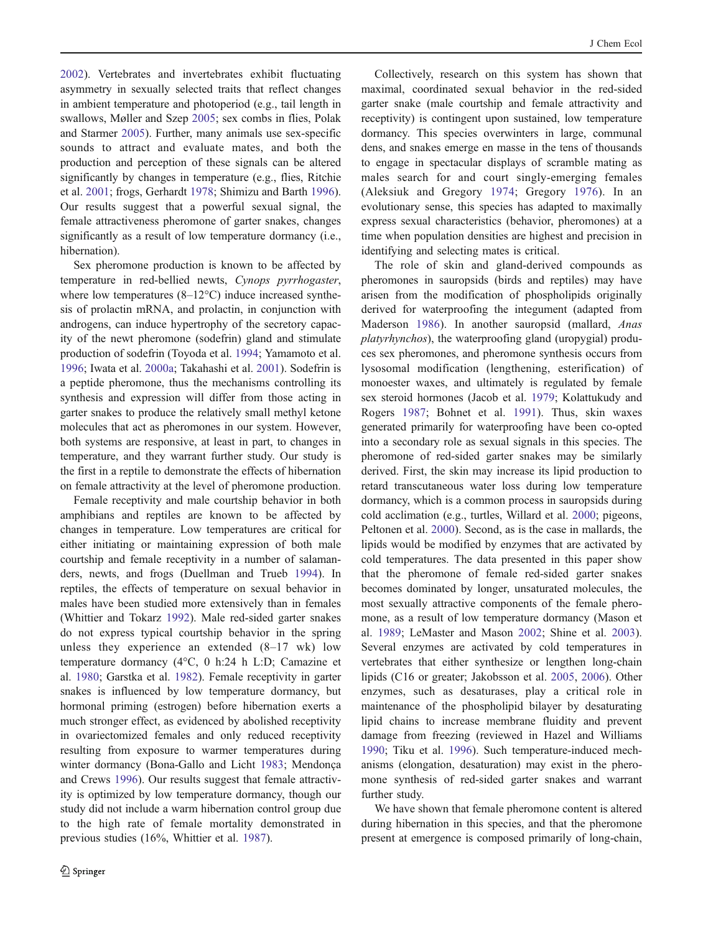[2002](#page-7-0)). Vertebrates and invertebrates exhibit fluctuating asymmetry in sexually selected traits that reflect changes in ambient temperature and photoperiod (e.g., tail length in swallows, Møller and Szep [2005;](#page-7-0) sex combs in flies, Polak and Starmer [2005\)](#page-7-0). Further, many animals use sex-specific sounds to attract and evaluate mates, and both the production and perception of these signals can be altered significantly by changes in temperature (e.g., flies, Ritchie et al. [2001;](#page-7-0) frogs, Gerhardt [1978](#page-6-0); Shimizu and Barth [1996](#page-7-0)). Our results suggest that a powerful sexual signal, the female attractiveness pheromone of garter snakes, changes significantly as a result of low temperature dormancy (i.e., hibernation).

Sex pheromone production is known to be affected by temperature in red-bellied newts, Cynops pyrrhogaster, where low temperatures (8–12°C) induce increased synthesis of prolactin mRNA, and prolactin, in conjunction with androgens, can induce hypertrophy of the secretory capacity of the newt pheromone (sodefrin) gland and stimulate production of sodefrin (Toyoda et al. [1994](#page-7-0); Yamamoto et al. [1996;](#page-7-0) Iwata et al. [2000a](#page-6-0); Takahashi et al. [2001](#page-7-0)). Sodefrin is a peptide pheromone, thus the mechanisms controlling its synthesis and expression will differ from those acting in garter snakes to produce the relatively small methyl ketone molecules that act as pheromones in our system. However, both systems are responsive, at least in part, to changes in temperature, and they warrant further study. Our study is the first in a reptile to demonstrate the effects of hibernation on female attractivity at the level of pheromone production.

Female receptivity and male courtship behavior in both amphibians and reptiles are known to be affected by changes in temperature. Low temperatures are critical for either initiating or maintaining expression of both male courtship and female receptivity in a number of salamanders, newts, and frogs (Duellman and Trueb [1994\)](#page-6-0). In reptiles, the effects of temperature on sexual behavior in males have been studied more extensively than in females (Whittier and Tokarz [1992\)](#page-7-0). Male red-sided garter snakes do not express typical courtship behavior in the spring unless they experience an extended (8–17 wk) low temperature dormancy (4°C, 0 h:24 h L:D; Camazine et al. [1980](#page-6-0); Garstka et al. [1982\)](#page-6-0). Female receptivity in garter snakes is influenced by low temperature dormancy, but hormonal priming (estrogen) before hibernation exerts a much stronger effect, as evidenced by abolished receptivity in ovariectomized females and only reduced receptivity resulting from exposure to warmer temperatures during winter dormancy (Bona-Gallo and Licht [1983](#page-6-0); Mendonça and Crews [1996\)](#page-7-0). Our results suggest that female attractivity is optimized by low temperature dormancy, though our study did not include a warm hibernation control group due to the high rate of female mortality demonstrated in previous studies (16%, Whittier et al. [1987\)](#page-7-0).

Collectively, research on this system has shown that maximal, coordinated sexual behavior in the red-sided garter snake (male courtship and female attractivity and receptivity) is contingent upon sustained, low temperature dormancy. This species overwinters in large, communal dens, and snakes emerge en masse in the tens of thousands to engage in spectacular displays of scramble mating as males search for and court singly-emerging females (Aleksiuk and Gregory [1974](#page-6-0); Gregory [1976](#page-6-0)). In an evolutionary sense, this species has adapted to maximally express sexual characteristics (behavior, pheromones) at a time when population densities are highest and precision in identifying and selecting mates is critical.

The role of skin and gland-derived compounds as pheromones in sauropsids (birds and reptiles) may have arisen from the modification of phospholipids originally derived for waterproofing the integument (adapted from Maderson [1986\)](#page-7-0). In another sauropsid (mallard, Anas platyrhynchos), the waterproofing gland (uropygial) produces sex pheromones, and pheromone synthesis occurs from lysosomal modification (lengthening, esterification) of monoester waxes, and ultimately is regulated by female sex steroid hormones (Jacob et al. [1979](#page-6-0); Kolattukudy and Rogers [1987](#page-6-0); Bohnet et al. [1991](#page-6-0)). Thus, skin waxes generated primarily for waterproofing have been co-opted into a secondary role as sexual signals in this species. The pheromone of red-sided garter snakes may be similarly derived. First, the skin may increase its lipid production to retard transcutaneous water loss during low temperature dormancy, which is a common process in sauropsids during cold acclimation (e.g., turtles, Willard et al. [2000;](#page-7-0) pigeons, Peltonen et al. [2000](#page-7-0)). Second, as is the case in mallards, the lipids would be modified by enzymes that are activated by cold temperatures. The data presented in this paper show that the pheromone of female red-sided garter snakes becomes dominated by longer, unsaturated molecules, the most sexually attractive components of the female pheromone, as a result of low temperature dormancy (Mason et al. [1989](#page-7-0); LeMaster and Mason [2002](#page-6-0); Shine et al. [2003\)](#page-7-0). Several enzymes are activated by cold temperatures in vertebrates that either synthesize or lengthen long-chain lipids (C16 or greater; Jakobsson et al. [2005,](#page-6-0) [2006\)](#page-6-0). Other enzymes, such as desaturases, play a critical role in maintenance of the phospholipid bilayer by desaturating lipid chains to increase membrane fluidity and prevent damage from freezing (reviewed in Hazel and Williams [1990](#page-6-0); Tiku et al. [1996](#page-7-0)). Such temperature-induced mechanisms (elongation, desaturation) may exist in the pheromone synthesis of red-sided garter snakes and warrant further study.

We have shown that female pheromone content is altered during hibernation in this species, and that the pheromone present at emergence is composed primarily of long-chain,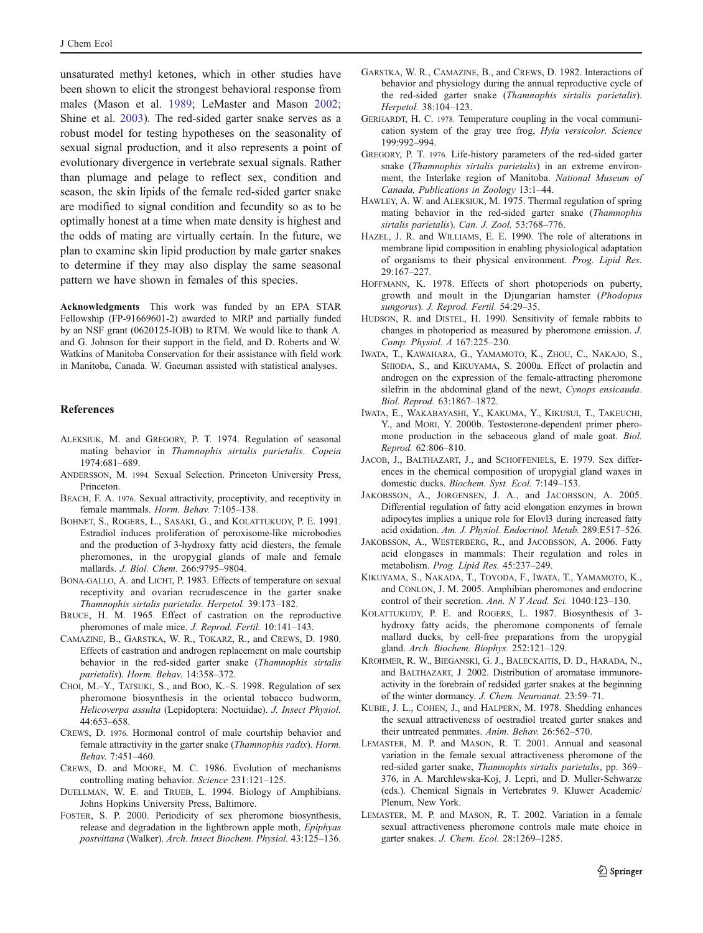<span id="page-6-0"></span>unsaturated methyl ketones, which in other studies have been shown to elicit the strongest behavioral response from males (Mason et al. [1989;](#page-7-0) LeMaster and Mason 2002; Shine et al. [2003\)](#page-7-0). The red-sided garter snake serves as a robust model for testing hypotheses on the seasonality of sexual signal production, and it also represents a point of evolutionary divergence in vertebrate sexual signals. Rather than plumage and pelage to reflect sex, condition and season, the skin lipids of the female red-sided garter snake are modified to signal condition and fecundity so as to be optimally honest at a time when mate density is highest and the odds of mating are virtually certain. In the future, we plan to examine skin lipid production by male garter snakes to determine if they may also display the same seasonal pattern we have shown in females of this species.

Acknowledgments This work was funded by an EPA STAR Fellowship (FP-91669601-2) awarded to MRP and partially funded by an NSF grant (0620125-IOB) to RTM. We would like to thank A. and G. Johnson for their support in the field, and D. Roberts and W. Watkins of Manitoba Conservation for their assistance with field work in Manitoba, Canada. W. Gaeuman assisted with statistical analyses.

#### References

- ALEKSIUK, M. and GREGORY, P. T. 1974. Regulation of seasonal mating behavior in Thamnophis sirtalis parietalis. Copeia 1974:681–689.
- ANDERSSON, M. 1994. Sexual Selection. Princeton University Press, Princeton.
- BEACH, F. A. 1976. Sexual attractivity, proceptivity, and receptivity in female mammals. Horm. Behav. 7:105–138.
- BOHNET, S., ROGERS, L., SASAKI, G., and KOLATTUKUDY, P. E. 1991. Estradiol induces proliferation of peroxisome-like microbodies and the production of 3-hydroxy fatty acid diesters, the female pheromones, in the uropygial glands of male and female mallards. J. Biol. Chem. 266:9795–9804.
- BONA-GALLO, A. and LICHT, P. 1983. Effects of temperature on sexual receptivity and ovarian recrudescence in the garter snake Thamnophis sirtalis parietalis. Herpetol. 39:173–182.
- BRUCE, H. M. 1965. Effect of castration on the reproductive pheromones of male mice. J. Reprod. Fertil. 10:141–143.
- CAMAZINE, B., GARSTKA, W. R., TOKARZ, R., and CREWS, D. 1980. Effects of castration and androgen replacement on male courtship behavior in the red-sided garter snake (Thamnophis sirtalis parietalis). Horm. Behav. 14:358–372.
- CHOI, M.–Y., TATSUKI, S., and BOO, K.–S. 1998. Regulation of sex pheromone biosynthesis in the oriental tobacco budworm, Helicoverpa assulta (Lepidoptera: Noctuidae). J. Insect Physiol. 44:653–658.
- CREWS, D. 1976. Hormonal control of male courtship behavior and female attractivity in the garter snake (Thamnophis radix). Horm. Behav. 7:451–460.
- CREWS, D. and MOORE, M. C. 1986. Evolution of mechanisms controlling mating behavior. Science 231:121–125.
- DUELLMAN, W. E. and TRUEB, L. 1994. Biology of Amphibians. Johns Hopkins University Press, Baltimore.
- FOSTER, S. P. 2000. Periodicity of sex pheromone biosynthesis, release and degradation in the lightbrown apple moth, Epiphyas postvittana (Walker). Arch. Insect Biochem. Physiol. 43:125–136.
- GARSTKA, W. R., CAMAZINE, B., and CREWS, D. 1982. Interactions of behavior and physiology during the annual reproductive cycle of the red-sided garter snake (Thamnophis sirtalis parietalis). Herpetol. 38:104–123.
- GERHARDT, H. C. 1978. Temperature coupling in the vocal communication system of the gray tree frog, Hyla versicolor. Science 199:992–994.
- GREGORY, P. T. 1976. Life-history parameters of the red-sided garter snake (Thamnophis sirtalis parietalis) in an extreme environment, the Interlake region of Manitoba. National Museum of Canada, Publications in Zoology 13:1–44.
- HAWLEY, A. W. and ALEKSIUK, M. 1975. Thermal regulation of spring mating behavior in the red-sided garter snake (Thamnophis sirtalis parietalis). Can. J. Zool. 53:768–776.
- HAZEL, J. R. and WILLIAMS, E. E. 1990. The role of alterations in membrane lipid composition in enabling physiological adaptation of organisms to their physical environment. Prog. Lipid Res. 29:167–227.
- HOFFMANN, K. 1978. Effects of short photoperiods on puberty, growth and moult in the Djungarian hamster (Phodopus sungorus). J. Reprod. Fertil. 54:29–35.
- HUDSON, R. and DISTEL, H. 1990. Sensitivity of female rabbits to changes in photoperiod as measured by pheromone emission. J. Comp. Physiol. A 167:225–230.
- IWATA, T., KAWAHARA, G., YAMAMOTO, K., ZHOU, C., NAKAJO, S., SHIODA, S., and KIKUYAMA, S. 2000a. Effect of prolactin and androgen on the expression of the female-attracting pheromone silefrin in the abdominal gland of the newt, Cynops ensicauda. Biol. Reprod. 63:1867–1872.
- IWATA, E., WAKABAYASHI, Y., KAKUMA, Y., KIKUSUI, T., TAKEUCHI, Y., and MORI, Y. 2000b. Testosterone-dependent primer pheromone production in the sebaceous gland of male goat. Biol. Reprod. 62:806–810.
- JACOB, J., BALTHAZART, J., and SCHOFFENIELS, E. 1979. Sex differences in the chemical composition of uropygial gland waxes in domestic ducks. Biochem. Syst. Ecol. 7:149–153.
- JAKOBSSON, A., JORGENSEN, J. A., and JACOBSSON, A. 2005. Differential regulation of fatty acid elongation enzymes in brown adipocytes implies a unique role for Elovl3 during increased fatty acid oxidation. Am. J. Physiol. Endocrinol. Metab. 289:E517–526.
- JAKOBSSON, A., WESTERBERG, R., and JACOBSSON, A. 2006. Fatty acid elongases in mammals: Their regulation and roles in metabolism. Prog. Lipid Res. 45:237–249.
- KIKUYAMA, S., NAKADA, T., TOYODA, F., IWATA, T., YAMAMOTO, K., and CONLON, J. M. 2005. Amphibian pheromones and endocrine control of their secretion. Ann. N Y Acad. Sci. 1040:123-130.
- KOLATTUKUDY, P. E. and ROGERS, L. 1987. Biosynthesis of 3 hydroxy fatty acids, the pheromone components of female mallard ducks, by cell-free preparations from the uropygial gland. Arch. Biochem. Biophys. 252:121–129.
- KROHMER, R. W., BIEGANSKI, G. J., BALECKAITIS, D. D., HARADA, N., and BALTHAZART, J. 2002. Distribution of aromatase immunoreactivity in the forebrain of redsided garter snakes at the beginning of the winter dormancy. J. Chem. Neuroanat. 23:59–71.
- KUBIE, J. L., COHEN, J., and HALPERN, M. 1978. Shedding enhances the sexual attractiveness of oestradiol treated garter snakes and their untreated penmates. Anim. Behav. 26:562–570.
- LEMASTER, M. P. and MASON, R. T. 2001. Annual and seasonal variation in the female sexual attractiveness pheromone of the red-sided garter snake, Thamnophis sirtalis parietalis, pp. 369– 376, in A. Marchlewska-Koj, J. Lepri, and D. Muller-Schwarze (eds.). Chemical Signals in Vertebrates 9. Kluwer Academic/ Plenum, New York.
- LEMASTER, M. P. and MASON, R. T. 2002. Variation in a female sexual attractiveness pheromone controls male mate choice in garter snakes. J. Chem. Ecol. 28:1269–1285.